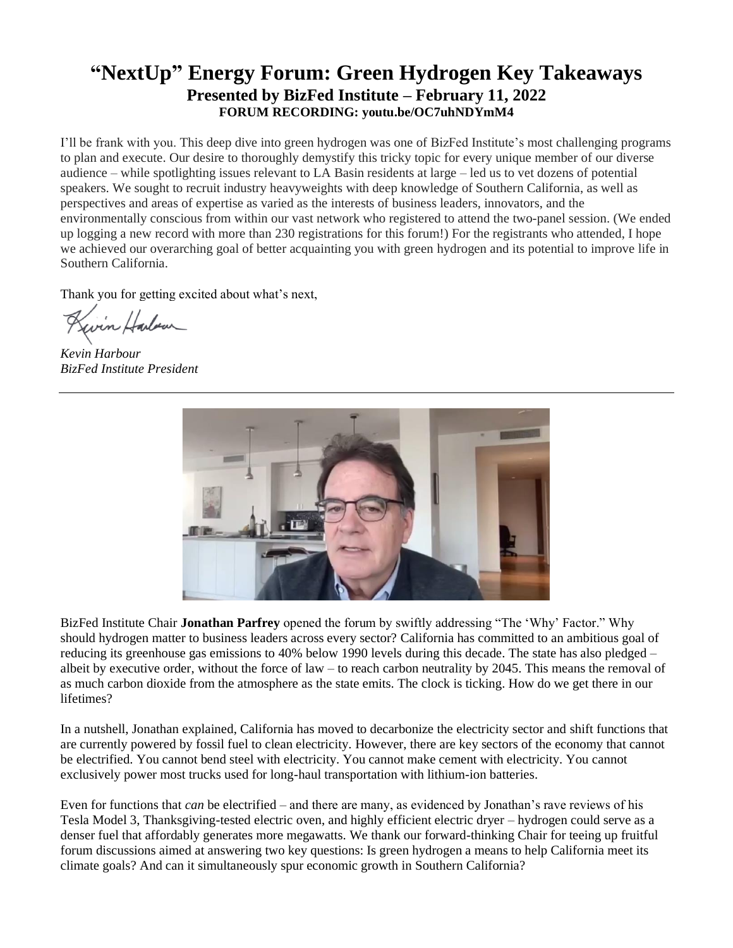## **"NextUp" Energy Forum: Green Hydrogen Key Takeaways Presented by BizFed Institute – February 11, 2022 FORUM RECORDING: youtu.be/OC7uhNDYmM4**

I'll be frank with you. This deep dive into green hydrogen was one of BizFed Institute's most challenging programs to plan and execute. Our desire to thoroughly demystify this tricky topic for every unique member of our diverse audience – while spotlighting issues relevant to LA Basin residents at large – led us to vet dozens of potential speakers. We sought to recruit industry heavyweights with deep knowledge of Southern California, as well as perspectives and areas of expertise as varied as the interests of business leaders, innovators, and the environmentally conscious from within our vast network who registered to attend the two-panel session. (We ended up logging a new record with more than 230 registrations for this forum!) For the registrants who attended, I hope we achieved our overarching goal of better acquainting you with green hydrogen and its potential to improve life in Southern California.

Thank you for getting excited about what's next,

Kivin Harbour

*Kevin Harbour BizFed Institute President*



BizFed Institute Chair **Jonathan Parfrey** opened the forum by swiftly addressing "The 'Why' Factor." Why should hydrogen matter to business leaders across every sector? California has committed to an ambitious goal of reducing its greenhouse gas emissions to 40% below 1990 levels during this decade. The state has also pledged – albeit by executive order, without the force of law – to reach carbon neutrality by 2045. This means the removal of as much carbon dioxide from the atmosphere as the state emits. The clock is ticking. How do we get there in our lifetimes?

In a nutshell, Jonathan explained, California has moved to decarbonize the electricity sector and shift functions that are currently powered by fossil fuel to clean electricity. However, there are key sectors of the economy that cannot be electrified. You cannot bend steel with electricity. You cannot make cement with electricity. You cannot exclusively power most trucks used for long-haul transportation with lithium-ion batteries.

Even for functions that *can* be electrified – and there are many, as evidenced by Jonathan's rave reviews of his Tesla Model 3, Thanksgiving-tested electric oven, and highly efficient electric dryer – hydrogen could serve as a denser fuel that affordably generates more megawatts. We thank our forward-thinking Chair for teeing up fruitful forum discussions aimed at answering two key questions: Is green hydrogen a means to help California meet its climate goals? And can it simultaneously spur economic growth in Southern California?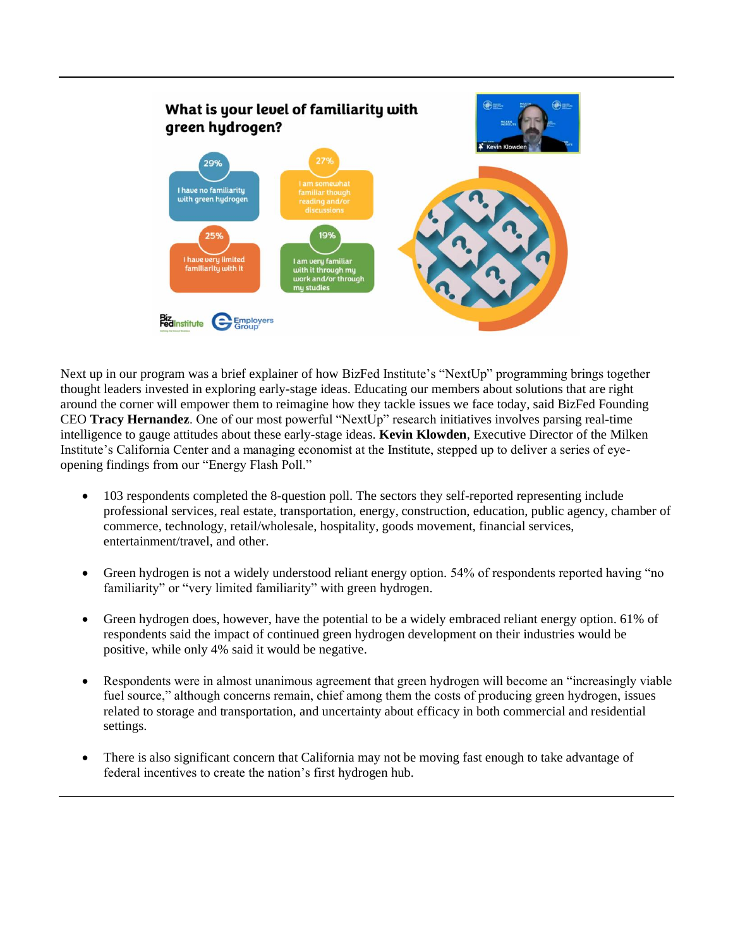

Next up in our program was a brief explainer of how BizFed Institute's "NextUp" programming brings together thought leaders invested in exploring early-stage ideas. Educating our members about solutions that are right around the corner will empower them to reimagine how they tackle issues we face today, said BizFed Founding CEO **Tracy Hernandez**. One of our most powerful "NextUp" research initiatives involves parsing real-time intelligence to gauge attitudes about these early-stage ideas. **Kevin Klowden**, Executive Director of the Milken Institute's California Center and a managing economist at the Institute, stepped up to deliver a series of eyeopening findings from our "Energy Flash Poll."

- 103 respondents completed the 8-question poll. The sectors they self-reported representing include professional services, real estate, transportation, energy, construction, education, public agency, chamber of commerce, technology, retail/wholesale, hospitality, goods movement, financial services, entertainment/travel, and other.
- Green hydrogen is not a widely understood reliant energy option. 54% of respondents reported having "no familiarity" or "very limited familiarity" with green hydrogen.
- Green hydrogen does, however, have the potential to be a widely embraced reliant energy option. 61% of respondents said the impact of continued green hydrogen development on their industries would be positive, while only 4% said it would be negative.
- Respondents were in almost unanimous agreement that green hydrogen will become an "increasingly viable" fuel source," although concerns remain, chief among them the costs of producing green hydrogen, issues related to storage and transportation, and uncertainty about efficacy in both commercial and residential settings.
- There is also significant concern that California may not be moving fast enough to take advantage of federal incentives to create the nation's first hydrogen hub.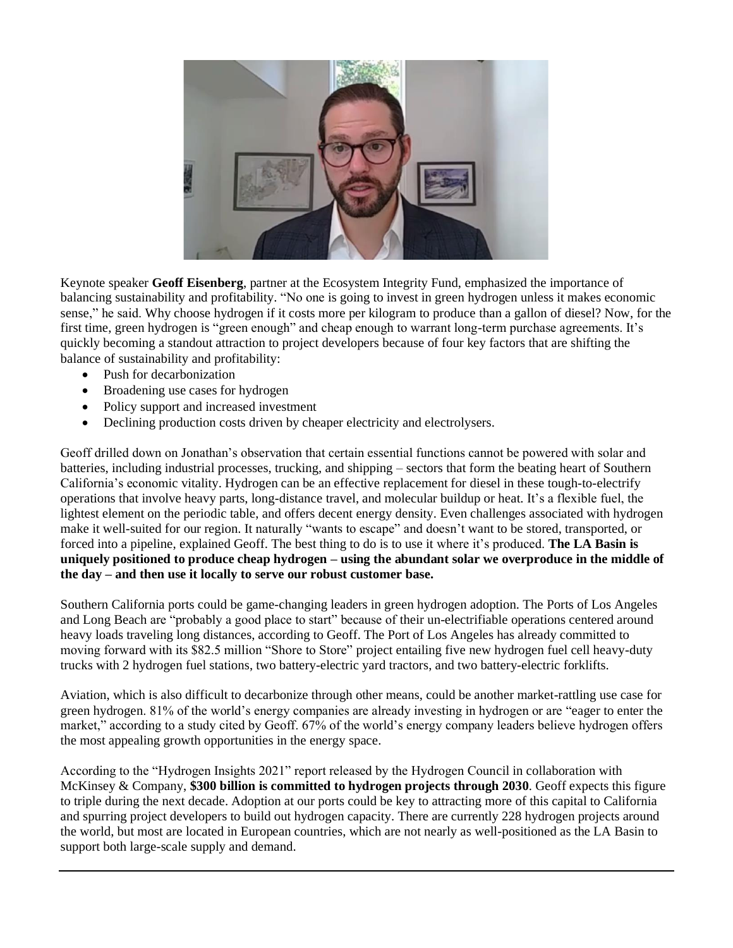

Keynote speaker **Geoff Eisenberg**, partner at the Ecosystem Integrity Fund, emphasized the importance of balancing sustainability and profitability. "No one is going to invest in green hydrogen unless it makes economic sense," he said. Why choose hydrogen if it costs more per kilogram to produce than a gallon of diesel? Now, for the first time, green hydrogen is "green enough" and cheap enough to warrant long-term purchase agreements. It's quickly becoming a standout attraction to project developers because of four key factors that are shifting the balance of sustainability and profitability:

- Push for decarbonization
- Broadening use cases for hydrogen
- Policy support and increased investment
- Declining production costs driven by cheaper electricity and electrolysers.

Geoff drilled down on Jonathan's observation that certain essential functions cannot be powered with solar and batteries, including industrial processes, trucking, and shipping – sectors that form the beating heart of Southern California's economic vitality. Hydrogen can be an effective replacement for diesel in these tough-to-electrify operations that involve heavy parts, long-distance travel, and molecular buildup or heat. It's a flexible fuel, the lightest element on the periodic table, and offers decent energy density. Even challenges associated with hydrogen make it well-suited for our region. It naturally "wants to escape" and doesn't want to be stored, transported, or forced into a pipeline, explained Geoff. The best thing to do is to use it where it's produced. **The LA Basin is uniquely positioned to produce cheap hydrogen – using the abundant solar we overproduce in the middle of the day – and then use it locally to serve our robust customer base.**

Southern California ports could be game-changing leaders in green hydrogen adoption. The Ports of Los Angeles and Long Beach are "probably a good place to start" because of their un-electrifiable operations centered around heavy loads traveling long distances, according to Geoff. The Port of Los Angeles has already committed to moving forward with its \$82.5 million "Shore to Store" project entailing five new hydrogen fuel cell heavy-duty trucks with 2 hydrogen fuel stations, two battery-electric yard tractors, and two battery-electric forklifts.

Aviation, which is also difficult to decarbonize through other means, could be another market-rattling use case for green hydrogen. 81% of the world's energy companies are already investing in hydrogen or are "eager to enter the market," according to a study cited by Geoff. 67% of the world's energy company leaders believe hydrogen offers the most appealing growth opportunities in the energy space.

According to the "Hydrogen Insights 2021" report released by the Hydrogen Council in collaboration with McKinsey & Company, **\$300 billion is committed to hydrogen projects through 2030**. Geoff expects this figure to triple during the next decade. Adoption at our ports could be key to attracting more of this capital to California and spurring project developers to build out hydrogen capacity. There are currently 228 hydrogen projects around the world, but most are located in European countries, which are not nearly as well-positioned as the LA Basin to support both large-scale supply and demand.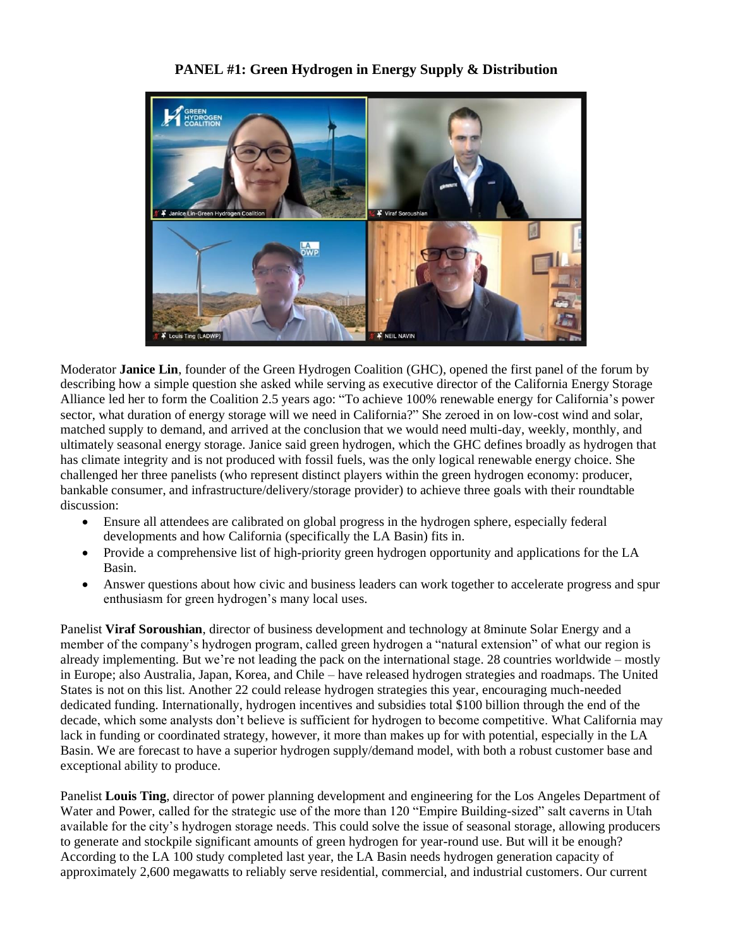## **PANEL #1: Green Hydrogen in Energy Supply & Distribution**



Moderator **Janice Lin**, founder of the Green Hydrogen Coalition (GHC), opened the first panel of the forum by describing how a simple question she asked while serving as executive director of the California Energy Storage Alliance led her to form the Coalition 2.5 years ago: "To achieve 100% renewable energy for California's power sector, what duration of energy storage will we need in California?" She zeroed in on low-cost wind and solar, matched supply to demand, and arrived at the conclusion that we would need multi-day, weekly, monthly, and ultimately seasonal energy storage. Janice said green hydrogen, which the GHC defines broadly as hydrogen that has climate integrity and is not produced with fossil fuels, was the only logical renewable energy choice. She challenged her three panelists (who represent distinct players within the green hydrogen economy: producer, bankable consumer, and infrastructure/delivery/storage provider) to achieve three goals with their roundtable discussion:

- Ensure all attendees are calibrated on global progress in the hydrogen sphere, especially federal developments and how California (specifically the LA Basin) fits in.
- Provide a comprehensive list of high-priority green hydrogen opportunity and applications for the LA Basin.
- Answer questions about how civic and business leaders can work together to accelerate progress and spur enthusiasm for green hydrogen's many local uses.

Panelist **Viraf Soroushian**, director of business development and technology at 8minute Solar Energy and a member of the company's hydrogen program, called green hydrogen a "natural extension" of what our region is already implementing. But we're not leading the pack on the international stage. 28 countries worldwide – mostly in Europe; also Australia, Japan, Korea, and Chile – have released hydrogen strategies and roadmaps. The United States is not on this list. Another 22 could release hydrogen strategies this year, encouraging much-needed dedicated funding. Internationally, hydrogen incentives and subsidies total \$100 billion through the end of the decade, which some analysts don't believe is sufficient for hydrogen to become competitive. What California may lack in funding or coordinated strategy, however, it more than makes up for with potential, especially in the LA Basin. We are forecast to have a superior hydrogen supply/demand model, with both a robust customer base and exceptional ability to produce.

Panelist **Louis Ting**, director of power planning development and engineering for the Los Angeles Department of Water and Power, called for the strategic use of the more than 120 "Empire Building-sized" salt caverns in Utah available for the city's hydrogen storage needs. This could solve the issue of seasonal storage, allowing producers to generate and stockpile significant amounts of green hydrogen for year-round use. But will it be enough? According to the LA 100 study completed last year, the LA Basin needs hydrogen generation capacity of approximately 2,600 megawatts to reliably serve residential, commercial, and industrial customers. Our current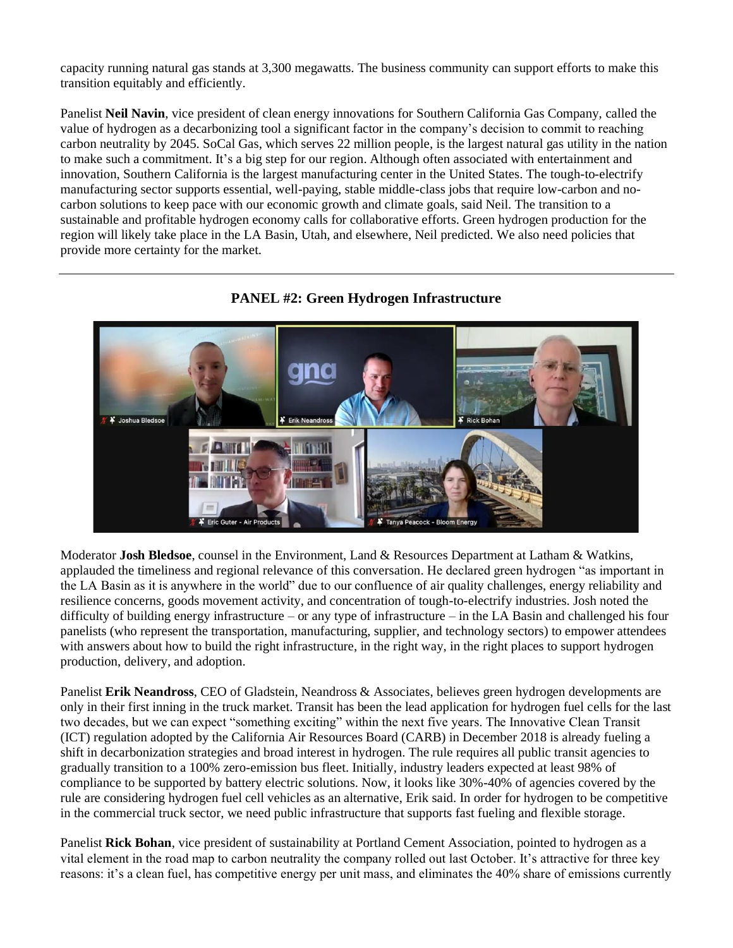capacity running natural gas stands at 3,300 megawatts. The business community can support efforts to make this transition equitably and efficiently.

Panelist **Neil Navin**, vice president of clean energy innovations for Southern California Gas Company, called the value of hydrogen as a decarbonizing tool a significant factor in the company's decision to commit to reaching carbon neutrality by 2045. SoCal Gas, which serves 22 million people, is the largest natural gas utility in the nation to make such a commitment. It's a big step for our region. Although often associated with entertainment and innovation, Southern California is the largest manufacturing center in the United States. The tough-to-electrify manufacturing sector supports essential, well-paying, stable middle-class jobs that require low-carbon and nocarbon solutions to keep pace with our economic growth and climate goals, said Neil. The transition to a sustainable and profitable hydrogen economy calls for collaborative efforts. Green hydrogen production for the region will likely take place in the LA Basin, Utah, and elsewhere, Neil predicted. We also need policies that provide more certainty for the market.



## **PANEL #2: Green Hydrogen Infrastructure**

Moderator **Josh Bledsoe**, counsel in the Environment, Land & Resources Department at Latham & Watkins, applauded the timeliness and regional relevance of this conversation. He declared green hydrogen "as important in the LA Basin as it is anywhere in the world" due to our confluence of air quality challenges, energy reliability and resilience concerns, goods movement activity, and concentration of tough-to-electrify industries. Josh noted the difficulty of building energy infrastructure – or any type of infrastructure – in the LA Basin and challenged his four panelists (who represent the transportation, manufacturing, supplier, and technology sectors) to empower attendees with answers about how to build the right infrastructure, in the right way, in the right places to support hydrogen production, delivery, and adoption.

Panelist **Erik Neandross**, CEO of Gladstein, Neandross & Associates, believes green hydrogen developments are only in their first inning in the truck market. Transit has been the lead application for hydrogen fuel cells for the last two decades, but we can expect "something exciting" within the next five years. The Innovative Clean Transit (ICT) regulation adopted by the California Air Resources Board (CARB) in December 2018 is already fueling a shift in decarbonization strategies and broad interest in hydrogen. The rule requires all public transit agencies to gradually transition to a 100% zero-emission bus fleet. Initially, industry leaders expected at least 98% of compliance to be supported by battery electric solutions. Now, it looks like 30%-40% of agencies covered by the rule are considering hydrogen fuel cell vehicles as an alternative, Erik said. In order for hydrogen to be competitive in the commercial truck sector, we need public infrastructure that supports fast fueling and flexible storage.

Panelist **Rick Bohan**, vice president of sustainability at Portland Cement Association, pointed to hydrogen as a vital element in the road map to carbon neutrality the company rolled out last October. It's attractive for three key reasons: it's a clean fuel, has competitive energy per unit mass, and eliminates the 40% share of emissions currently